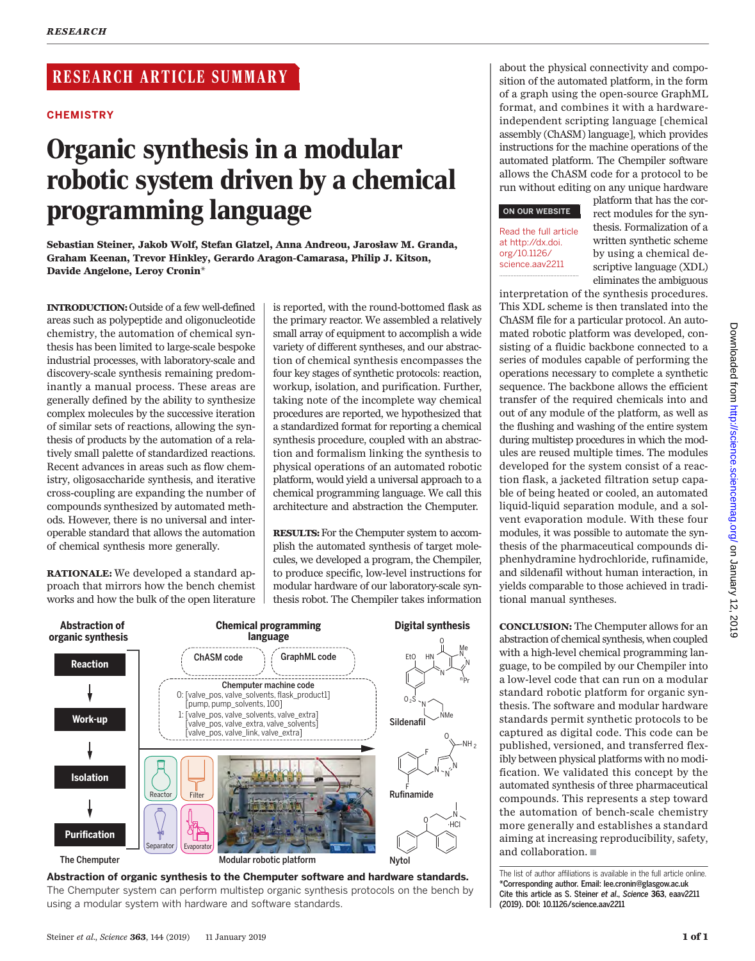# RESEARCH ARTICLE SUMMARY

#### **CHEMISTRY**

# Organic synthesis in a modular robotic system driven by a chemical programming language

Sebastian Steiner, Jakob Wolf, Stefan Glatzel, Anna Andreou, Jarosław M. Granda, Graham Keenan, Trevor Hinkley, Gerardo Aragon-Camarasa, Philip J. Kitson, Davide Angelone, Leroy Cronin\*

INTRODUCTION:Outside of a few well-defined areas such as polypeptide and oligonucleotide chemistry, the automation of chemical synthesis has been limited to large-scale bespoke industrial processes, with laboratory-scale and discovery-scale synthesis remaining predominantly a manual process. These areas are generally defined by the ability to synthesize complex molecules by the successive iteration of similar sets of reactions, allowing the synthesis of products by the automation of a relatively small palette of standardized reactions. Recent advances in areas such as flow chemistry, oligosaccharide synthesis, and iterative cross-coupling are expanding the number of compounds synthesized by automated methods. However, there is no universal and interoperable standard that allows the automation of chemical synthesis more generally.

RATIONALE: We developed a standard approach that mirrors how the bench chemist works and how the bulk of the open literature is reported, with the round-bottomed flask as the primary reactor. We assembled a relatively small array of equipment to accomplish a wide variety of different syntheses, and our abstraction of chemical synthesis encompasses the four key stages of synthetic protocols: reaction, workup, isolation, and purification. Further, taking note of the incomplete way chemical procedures are reported, we hypothesized that a standardized format for reporting a chemical synthesis procedure, coupled with an abstraction and formalism linking the synthesis to physical operations of an automated robotic platform, would yield a universal approach to a chemical programming language. We call this architecture and abstraction the Chemputer.

RESULTS: For the Chemputer system to accomplish the automated synthesis of target molecules, we developed a program, the Chempiler, to produce specific, low-level instructions for modular hardware of our laboratory-scale synthesis robot. The Chempiler takes information



Abstraction of organic synthesis to the Chemputer software and hardware standards. The Chemputer system can perform multistep organic synthesis protocols on the bench by using a modular system with hardware and software standards.

about the physical connectivity and composition of the automated platform, in the form of a graph using the open-source GraphML format, and combines it with a hardwareindependent scripting language [chemical assembly (ChASM) language], which provides instructions for the machine operations of the automated platform. The Chempiler software allows the ChASM code for a protocol to be run without editing on any unique hardware

◥

#### ON OUR WEBSITE

#### Read the full article at http://dx.doi. org/10.1126/ science.aav2211 ..................................................

platform that has the correct modules for the synthesis. Formalization of a written synthetic scheme by using a chemical descriptive language (XDL) eliminates the ambiguous

interpretation of the synthesis procedures. This XDL scheme is then translated into the ChASM file for a particular protocol. An automated robotic platform was developed, consisting of a fluidic backbone connected to a series of modules capable of performing the operations necessary to complete a synthetic sequence. The backbone allows the efficient transfer of the required chemicals into and out of any module of the platform, as well as the flushing and washing of the entire system during multistep procedures in which the modules are reused multiple times. The modules developed for the system consist of a reaction flask, a jacketed filtration setup capable of being heated or cooled, an automated liquid-liquid separation module, and a solvent evaporation module. With these four modules, it was possible to automate the synthesis of the pharmaceutical compounds diphenhydramine hydrochloride, rufinamide, and sildenafil without human interaction, in yields comparable to those achieved in traditional manual syntheses.

CONCLUSION: The Chemputer allows for an abstraction of chemical synthesis, when coupled with a high-level chemical programming language, to be compiled by our Chempiler into a low-level code that can run on a modular standard robotic platform for organic synthesis. The software and modular hardware standards permit synthetic protocols to be captured as digital code. This code can be published, versioned, and transferred flexibly between physical platforms with no modification. We validated this concept by the automated synthesis of three pharmaceutical compounds. This represents a step toward the automation of bench-scale chemistry more generally and establishes a standard aiming at increasing reproducibility, safety, and collaboration.

The list of author affiliations is available in the full article online. \*Corresponding author. Email: lee.cronin@glasgow.ac.uk Cite this article as S. Steiner et al., Science 363, eaav2211 (2019). DOI: 10.1126/science.aav2211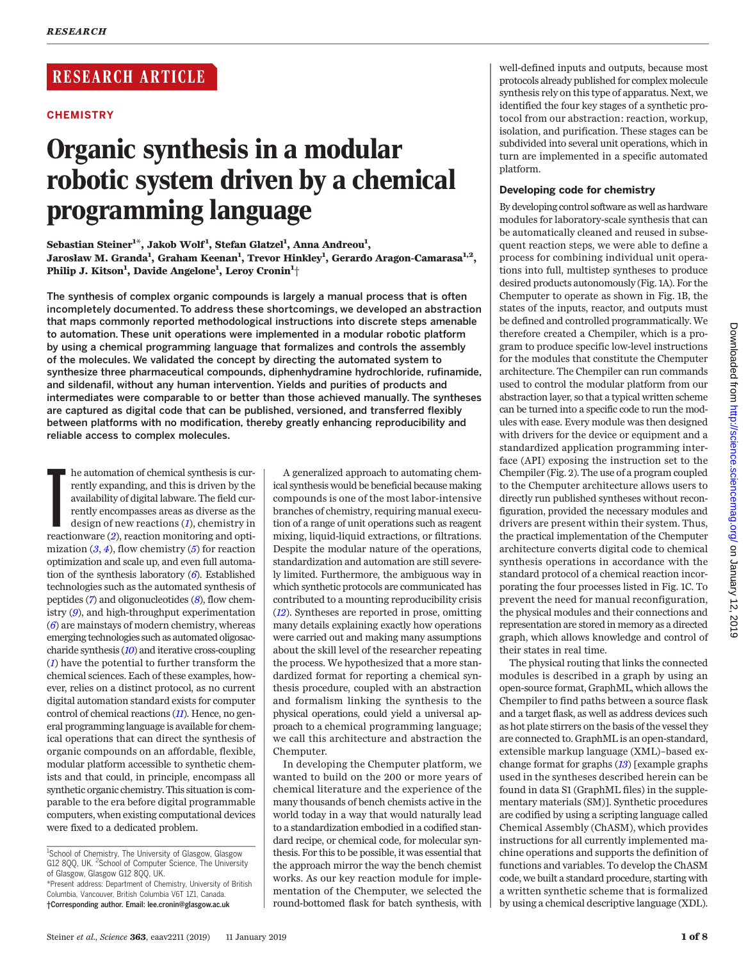# RESEARCH ARTICLE

## **CHEMISTRY**

# Organic synthesis in a modular robotic system driven by a chemical programming language

Sebastian Steiner<sup>1\*</sup>, Jakob Wolf<sup>1</sup>, Stefan Glatzel<sup>1</sup>, Anna Andreou<sup>1</sup>, Jarosław M. Granda $^1$ , Graham Keenan $^1$ , Trevor Hinkley $^1$ , Gerardo Aragon-Camarasa $^{1,2},$ Philip J. Kitson $^1$ , Davide Angelone $^1$ , Leroy Cronin $^1\!+\!$ 

The synthesis of complex organic compounds is largely a manual process that is often incompletely documented. To address these shortcomings, we developed an abstraction that maps commonly reported methodological instructions into discrete steps amenable to automation. These unit operations were implemented in a modular robotic platform by using a chemical programming language that formalizes and controls the assembly of the molecules. We validated the concept by directing the automated system to synthesize three pharmaceutical compounds, diphenhydramine hydrochloride, rufinamide, and sildenafil, without any human intervention. Yields and purities of products and intermediates were comparable to or better than those achieved manually. The syntheses are captured as digital code that can be published, versioned, and transferred flexibly between platforms with no modification, thereby greatly enhancing reproducibility and reliable access to complex molecules.

**Example [2](#page-8-0)** he automation of chemical synthesis is currently expanding, and this is driven by the availability of digital labware. The field currently encompasses areas as diverse as the design of new reactions (*1*), chem he automation of chemical synthesis is currently expanding, and this is driven by the availability of digital labware. The field currently encompasses areas as diverse as the design of new reactions (*I*), chemistry in mization  $(3, 4)$  $(3, 4)$  $(3, 4)$  $(3, 4)$  $(3, 4)$ , flow chemistry  $(5)$  $(5)$  $(5)$  for reaction optimization and scale up, and even full automation of the synthesis laboratory  $(6)$  $(6)$  $(6)$ . Established technologies such as the automated synthesis of peptides  $(7)$  $(7)$  $(7)$  and oligonucleotides  $(8)$  $(8)$  $(8)$ , flow chemistry ([9](#page-8-0)), and high-throughput experimentation  $(6)$  $(6)$  $(6)$  are mainstays of modern chemistry, whereas emerging technologies such as automated oligosaccharide synthesis ([10](#page-8-0)) and iterative cross-coupling ([1](#page-8-0)) have the potential to further transform the chemical sciences. Each of these examples, however, relies on a distinct protocol, as no current digital automation standard exists for computer control of chemical reactions  $(11)$  $(11)$  $(11)$ . Hence, no general programming language is available for chemical operations that can direct the synthesis of organic compounds on an affordable, flexible, modular platform accessible to synthetic chemists and that could, in principle, encompass all synthetic organic chemistry. This situation is comparable to the era before digital programmable computers, when existing computational devices were fixed to a dedicated problem.

A generalized approach to automating chemical synthesis would be beneficial because making compounds is one of the most labor-intensive branches of chemistry, requiring manual execution of a range of unit operations such as reagent mixing, liquid-liquid extractions, or filtrations. Despite the modular nature of the operations, standardization and automation are still severely limited. Furthermore, the ambiguous way in which synthetic protocols are communicated has contributed to a mounting reproducibility crisis ([12](#page-8-0)). Syntheses are reported in prose, omitting many details explaining exactly how operations were carried out and making many assumptions about the skill level of the researcher repeating the process. We hypothesized that a more standardized format for reporting a chemical synthesis procedure, coupled with an abstraction and formalism linking the synthesis to the physical operations, could yield a universal approach to a chemical programming language; we call this architecture and abstraction the Chemputer.

In developing the Chemputer platform, we wanted to build on the 200 or more years of chemical literature and the experience of the many thousands of bench chemists active in the world today in a way that would naturally lead to a standardization embodied in a codified standard recipe, or chemical code, for molecular synthesis. For this to be possible, it was essential that the approach mirror the way the bench chemist works. As our key reaction module for implementation of the Chemputer, we selected the round-bottomed flask for batch synthesis, with well-defined inputs and outputs, because most protocols already published for complex molecule synthesis rely on this type of apparatus. Next, we identified the four key stages of a synthetic protocol from our abstraction: reaction, workup, isolation, and purification. These stages can be subdivided into several unit operations, which in turn are implemented in a specific automated platform.

## Developing code for chemistry

By developing control software as well as hardware modules for laboratory-scale synthesis that can be automatically cleaned and reused in subsequent reaction steps, we were able to define a process for combining individual unit operations into full, multistep syntheses to produce desired products autonomously (Fig. 1A). For the Chemputer to operate as shown in Fig. 1B, the states of the inputs, reactor, and outputs must be defined and controlled programmatically. We therefore created a Chempiler, which is a program to produce specific low-level instructions for the modules that constitute the Chemputer architecture. The Chempiler can run commands used to control the modular platform from our abstraction layer, so that a typical written scheme can be turned into a specific code to run the modules with ease. Every module was then designed with drivers for the device or equipment and a standardized application programming interface (API) exposing the instruction set to the Chempiler (Fig. 2). The use of a program coupled to the Chemputer architecture allows users to directly run published syntheses without reconfiguration, provided the necessary modules and drivers are present within their system. Thus, the practical implementation of the Chemputer architecture converts digital code to chemical synthesis operations in accordance with the standard protocol of a chemical reaction incorporating the four processes listed in Fig. 1C. To prevent the need for manual reconfiguration, the physical modules and their connections and representation are stored in memory as a directed graph, which allows knowledge and control of their states in real time.

The physical routing that links the connected modules is described in a graph by using an open-source format, GraphML, which allows the Chempiler to find paths between a source flask and a target flask, as well as address devices such as hot plate stirrers on the basis of the vessel they are connected to. GraphML is an open-standard, extensible markup language (XML)–based exchange format for graphs ([13](#page-8-0)) [example graphs used in the syntheses described herein can be found in data S1 (GraphML files) in the supplementary materials (SM)]. Synthetic procedures are codified by using a scripting language called Chemical Assembly (ChASM), which provides instructions for all currently implemented machine operations and supports the definition of functions and variables. To develop the ChASM code, we built a standard procedure, starting with a written synthetic scheme that is formalized by using a chemical descriptive language (ΧDL).

<sup>&</sup>lt;sup>1</sup>School of Chemistry, The University of Glasgow, Glasgow G12 8QQ, UK. <sup>2</sup>School of Computer Science, The University of Glasgow, Glasgow G12 8QQ, UK. \*Present address: Department of Chemistry, University of British

Columbia, Vancouver, British Columbia V6T 1Z1, Canada. †Corresponding author. Email: lee.cronin@glasgow.ac.uk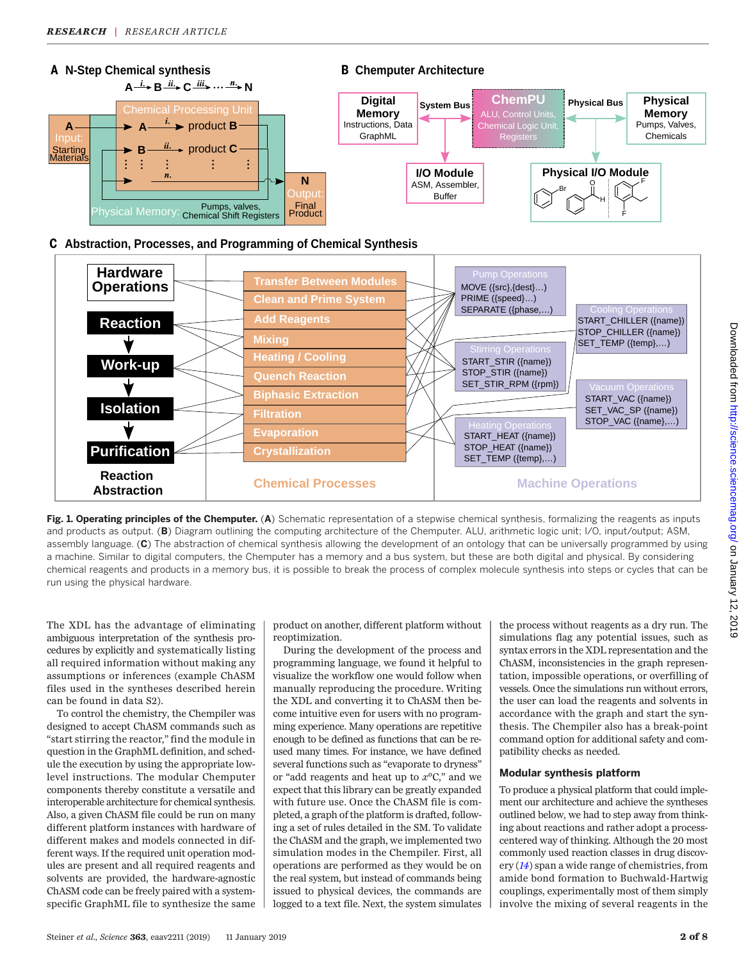

# **Abstraction, Processes, and Programming of Chemical Synthesis C**



Fig. 1. Operating principles of the Chemputer. (A) Schematic representation of a stepwise chemical synthesis, formalizing the reagents as inputs and products as output. (B) Diagram outlining the computing architecture of the Chemputer. ALU, arithmetic logic unit; I/O, input/output; ASM, assembly language. (C) The abstraction of chemical synthesis allowing the development of an ontology that can be universally programmed by using a machine. Similar to digital computers, the Chemputer has a memory and a bus system, but these are both digital and physical. By considering chemical reagents and products in a memory bus, it is possible to break the process of complex molecule synthesis into steps or cycles that can be run using the physical hardware.

The XDL has the advantage of eliminating ambiguous interpretation of the synthesis procedures by explicitly and systematically listing all required information without making any assumptions or inferences (example ChASM files used in the syntheses described herein can be found in data S2).

To control the chemistry, the Chempiler was designed to accept ChASM commands such as "start stirring the reactor," find the module in question in the GraphML definition, and schedule the execution by using the appropriate lowlevel instructions. The modular Chemputer components thereby constitute a versatile and interoperable architecture for chemical synthesis. Also, a given ChASM file could be run on many different platform instances with hardware of different makes and models connected in different ways. If the required unit operation modules are present and all required reagents and solvents are provided, the hardware-agnostic ChASM code can be freely paired with a systemspecific GraphML file to synthesize the same

product on another, different platform without reoptimization.

During the development of the process and programming language, we found it helpful to visualize the workflow one would follow when manually reproducing the procedure. Writing the XDL and converting it to ChASM then become intuitive even for users with no programming experience. Many operations are repetitive enough to be defined as functions that can be reused many times. For instance, we have defined several functions such as "evaporate to dryness" or "add reagents and heat up to  $x$ <sup>o</sup>C," and we expect that this library can be greatly expanded with future use. Once the ChASM file is completed, a graph of the platform is drafted, following a set of rules detailed in the SM. To validate the ChASM and the graph, we implemented two simulation modes in the Chempiler. First, all operations are performed as they would be on the real system, but instead of commands being issued to physical devices, the commands are logged to a text file. Next, the system simulates

the process without reagents as a dry run. The simulations flag any potential issues, such as syntax errors in the XDL representation and the ChASM, inconsistencies in the graph representation, impossible operations, or overfilling of vessels. Once the simulations run without errors, the user can load the reagents and solvents in accordance with the graph and start the synthesis. The Chempiler also has a break-point command option for additional safety and compatibility checks as needed.

#### Modular synthesis platform

To produce a physical platform that could implement our architecture and achieve the syntheses outlined below, we had to step away from thinking about reactions and rather adopt a processcentered way of thinking. Although the 20 most commonly used reaction classes in drug discovery ([14](#page-8-0)) span a wide range of chemistries, from amide bond formation to Buchwald-Hartwig couplings, experimentally most of them simply involve the mixing of several reagents in the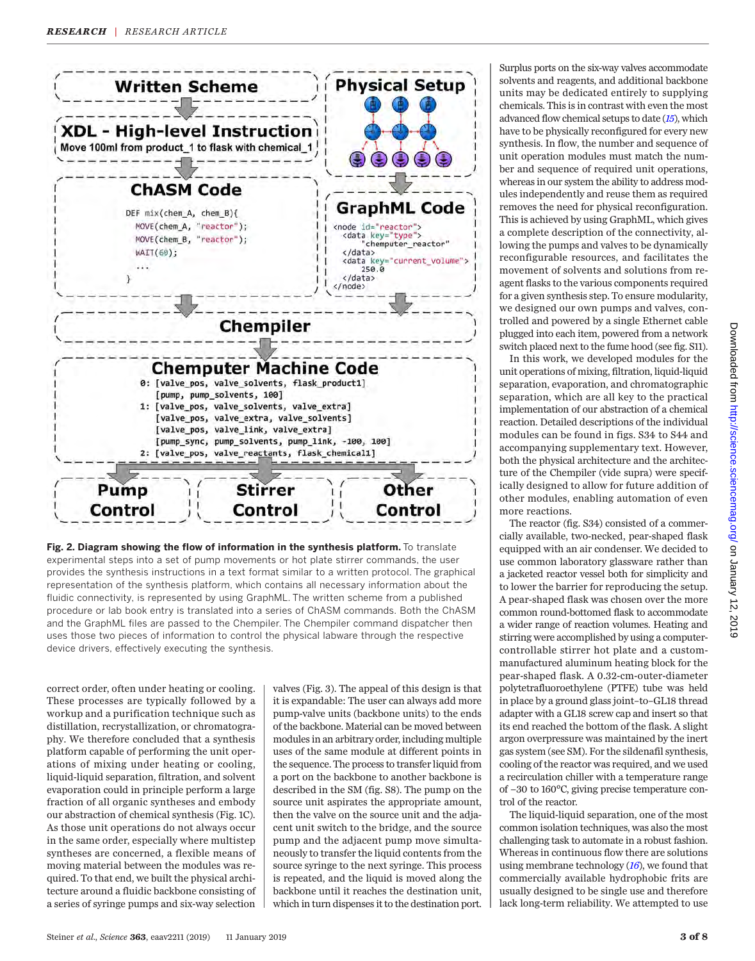



correct order, often under heating or cooling. These processes are typically followed by a workup and a purification technique such as distillation, recrystallization, or chromatography. We therefore concluded that a synthesis platform capable of performing the unit operations of mixing under heating or cooling, liquid-liquid separation, filtration, and solvent evaporation could in principle perform a large fraction of all organic syntheses and embody our abstraction of chemical synthesis (Fig. 1C). As those unit operations do not always occur in the same order, especially where multistep syntheses are concerned, a flexible means of moving material between the modules was required. To that end, we built the physical architecture around a fluidic backbone consisting of a series of syringe pumps and six-way selection

valves (Fig. 3). The appeal of this design is that it is expandable: The user can always add more pump-valve units (backbone units) to the ends of the backbone. Material can be moved between modules in an arbitrary order, including multiple uses of the same module at different points in the sequence. The process to transfer liquid from a port on the backbone to another backbone is described in the SM (fig. S8). The pump on the source unit aspirates the appropriate amount, then the valve on the source unit and the adjacent unit switch to the bridge, and the source pump and the adjacent pump move simultaneously to transfer the liquid contents from the source syringe to the next syringe. This process is repeated, and the liquid is moved along the backbone until it reaches the destination unit, which in turn dispenses it to the destination port.

Surplus ports on the six-way valves accommodate solvents and reagents, and additional backbone units may be dedicated entirely to supplying chemicals. This is in contrast with even the most advanced flow chemical setups to date  $(15)$  $(15)$  $(15)$ , which have to be physically reconfigured for every new synthesis. In flow, the number and sequence of unit operation modules must match the number and sequence of required unit operations, whereas in our system the ability to address modules independently and reuse them as required removes the need for physical reconfiguration. This is achieved by using GraphML, which gives a complete description of the connectivity, allowing the pumps and valves to be dynamically reconfigurable resources, and facilitates the movement of solvents and solutions from reagent flasks to the various components required for a given synthesis step. To ensure modularity, we designed our own pumps and valves, controlled and powered by a single Ethernet cable plugged into each item, powered from a network switch placed next to the fume hood (see fig. S11).

In this work, we developed modules for the unit operations of mixing, filtration, liquid-liquid separation, evaporation, and chromatographic separation, which are all key to the practical implementation of our abstraction of a chemical reaction. Detailed descriptions of the individual modules can be found in figs. S34 to S44 and accompanying supplementary text. However, both the physical architecture and the architecture of the Chempiler (vide supra) were specifically designed to allow for future addition of other modules, enabling automation of even more reactions.

The reactor (fig. S34) consisted of a commercially available, two-necked, pear-shaped flask equipped with an air condenser. We decided to use common laboratory glassware rather than a jacketed reactor vessel both for simplicity and to lower the barrier for reproducing the setup. A pear-shaped flask was chosen over the more common round-bottomed flask to accommodate a wider range of reaction volumes. Heating and stirring were accomplished by using a computercontrollable stirrer hot plate and a custommanufactured aluminum heating block for the pear-shaped flask. A 0.32-cm-outer-diameter polytetrafluoroethylene (PTFE) tube was held in place by a ground glass joint–to–GL18 thread adapter with a GL18 screw cap and insert so that its end reached the bottom of the flask. A slight argon overpressure was maintained by the inert gas system (see SM). For the sildenafil synthesis, cooling of the reactor was required, and we used a recirculation chiller with a temperature range of −30 to 160°C, giving precise temperature control of the reactor.

The liquid-liquid separation, one of the most common isolation techniques, was also the most challenging task to automate in a robust fashion. Whereas in continuous flow there are solutions using membrane technology  $(I6)$ , we found that commercially available hydrophobic frits are usually designed to be single use and therefore lack long-term reliability. We attempted to use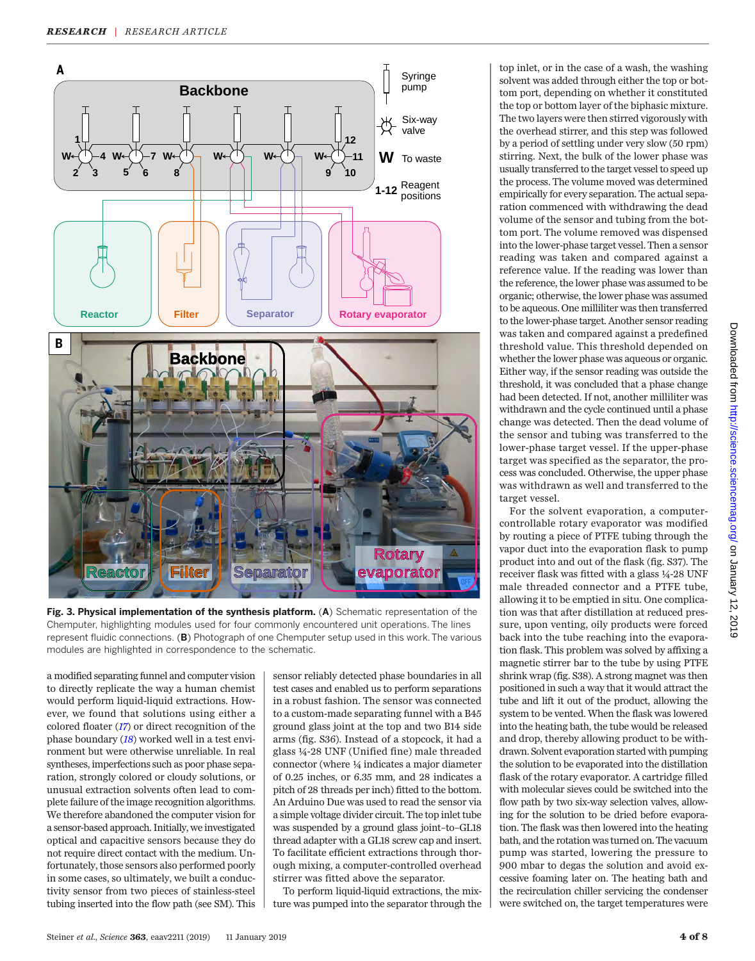

Fig. 3. Physical implementation of the synthesis platform. (A) Schematic representation of the Chemputer, highlighting modules used for four commonly encountered unit operations. The lines represent fluidic connections. (B) Photograph of one Chemputer setup used in this work. The various modules are highlighted in correspondence to the schematic.

a modified separating funnel and computer vision to directly replicate the way a human chemist would perform liquid-liquid extractions. However, we found that solutions using either a colored floater ([17](#page-8-0)) or direct recognition of the phase boundary ([18](#page-8-0)) worked well in a test environment but were otherwise unreliable. In real syntheses, imperfections such as poor phase separation, strongly colored or cloudy solutions, or unusual extraction solvents often lead to complete failure of the image recognition algorithms. We therefore abandoned the computer vision for a sensor-based approach. Initially, we investigated optical and capacitive sensors because they do not require direct contact with the medium. Unfortunately, those sensors also performed poorly in some cases, so ultimately, we built a conductivity sensor from two pieces of stainless-steel tubing inserted into the flow path (see SM). This sensor reliably detected phase boundaries in all test cases and enabled us to perform separations in a robust fashion. The sensor was connected to a custom-made separating funnel with a B45 ground glass joint at the top and two B14 side arms (fig. S36). Instead of a stopcock, it had a glass ¼-28 UNF (Unified fine) male threaded connector (where ¼ indicates a major diameter of 0.25 inches, or 6.35 mm, and 28 indicates a pitch of 28 threads per inch) fitted to the bottom. An Arduino Due was used to read the sensor via a simple voltage divider circuit. The top inlet tube was suspended by a ground glass joint–to–GL18 thread adapter with a GL18 screw cap and insert. To facilitate efficient extractions through thorough mixing, a computer-controlled overhead stirrer was fitted above the separator.

To perform liquid-liquid extractions, the mixture was pumped into the separator through the

top inlet, or in the case of a wash, the washing solvent was added through either the top or bottom port, depending on whether it constituted the top or bottom layer of the biphasic mixture. The two layers were then stirred vigorously with the overhead stirrer, and this step was followed by a period of settling under very slow (50 rpm) stirring. Next, the bulk of the lower phase was usually transferred to the target vessel to speed up the process. The volume moved was determined empirically for every separation. The actual separation commenced with withdrawing the dead volume of the sensor and tubing from the bottom port. The volume removed was dispensed into the lower-phase target vessel. Then a sensor reading was taken and compared against a reference value. If the reading was lower than the reference, the lower phase was assumed to be organic; otherwise, the lower phase was assumed to be aqueous. One milliliter was then transferred to the lower-phase target. Another sensor reading was taken and compared against a predefined threshold value. This threshold depended on whether the lower phase was aqueous or organic. Either way, if the sensor reading was outside the threshold, it was concluded that a phase change had been detected. If not, another milliliter was withdrawn and the cycle continued until a phase change was detected. Then the dead volume of the sensor and tubing was transferred to the lower-phase target vessel. If the upper-phase target was specified as the separator, the process was concluded. Otherwise, the upper phase was withdrawn as well and transferred to the target vessel.

For the solvent evaporation, a computercontrollable rotary evaporator was modified by routing a piece of PTFE tubing through the vapor duct into the evaporation flask to pump product into and out of the flask (fig. S37). The receiver flask was fitted with a glass ¼-28 UNF male threaded connector and a PTFE tube, allowing it to be emptied in situ. One complication was that after distillation at reduced pressure, upon venting, oily products were forced back into the tube reaching into the evaporation flask. This problem was solved by affixing a magnetic stirrer bar to the tube by using PTFE shrink wrap (fig. S38). A strong magnet was then positioned in such a way that it would attract the tube and lift it out of the product, allowing the system to be vented. When the flask was lowered into the heating bath, the tube would be released and drop, thereby allowing product to be withdrawn. Solvent evaporation started with pumping the solution to be evaporated into the distillation flask of the rotary evaporator. A cartridge filled with molecular sieves could be switched into the flow path by two six-way selection valves, allowing for the solution to be dried before evaporation. The flask was then lowered into the heating bath, and the rotation was turned on. The vacuum pump was started, lowering the pressure to 900 mbar to degas the solution and avoid excessive foaming later on. The heating bath and the recirculation chiller servicing the condenser were switched on, the target temperatures were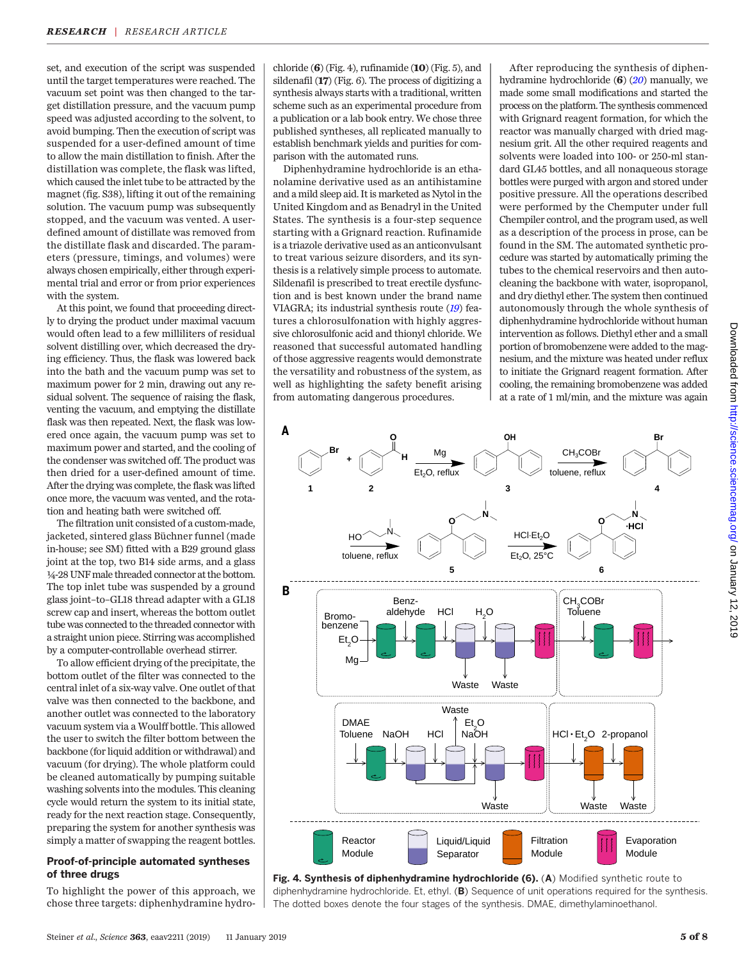set, and execution of the script was suspended until the target temperatures were reached. The vacuum set point was then changed to the target distillation pressure, and the vacuum pump speed was adjusted according to the solvent, to avoid bumping. Then the execution of script was suspended for a user-defined amount of time to allow the main distillation to finish. After the distillation was complete, the flask was lifted, which caused the inlet tube to be attracted by the magnet (fig. S38), lifting it out of the remaining solution. The vacuum pump was subsequently stopped, and the vacuum was vented. A userdefined amount of distillate was removed from the distillate flask and discarded. The parameters (pressure, timings, and volumes) were always chosen empirically, either through experimental trial and error or from prior experiences with the system.

At this point, we found that proceeding directly to drying the product under maximal vacuum would often lead to a few milliliters of residual solvent distilling over, which decreased the drying efficiency. Thus, the flask was lowered back into the bath and the vacuum pump was set to maximum power for 2 min, drawing out any residual solvent. The sequence of raising the flask, venting the vacuum, and emptying the distillate flask was then repeated. Next, the flask was lowered once again, the vacuum pump was set to maximum power and started, and the cooling of the condenser was switched off. The product was then dried for a user-defined amount of time. After the drying was complete, the flask was lifted once more, the vacuum was vented, and the rotation and heating bath were switched off.

The filtration unit consisted of a custom-made, jacketed, sintered glass Büchner funnel (made in-house; see SM) fitted with a B29 ground glass joint at the top, two B14 side arms, and a glass ¼-28 UNF male threaded connector at the bottom. The top inlet tube was suspended by a ground glass joint–to–GL18 thread adapter with a GL18 screw cap and insert, whereas the bottom outlet tube was connected to the threaded connector with a straight union piece. Stirring was accomplished by a computer-controllable overhead stirrer.

To allow efficient drying of the precipitate, the bottom outlet of the filter was connected to the central inlet of a six-way valve. One outlet of that valve was then connected to the backbone, and another outlet was connected to the laboratory vacuum system via a Woulff bottle. This allowed the user to switch the filter bottom between the backbone (for liquid addition or withdrawal) and vacuum (for drying). The whole platform could be cleaned automatically by pumping suitable washing solvents into the modules. This cleaning cycle would return the system to its initial state, ready for the next reaction stage. Consequently, preparing the system for another synthesis was simply a matter of swapping the reagent bottles.

#### Proof-of-principle automated syntheses of three drugs

To highlight the power of this approach, we chose three targets: diphenhydramine hydro-

chloride  $(6)$  (Fig. 4), rufinamide  $(10)$  (Fig. 5), and sildenafil (17) (Fig. 6). The process of digitizing a synthesis always starts with a traditional, written scheme such as an experimental procedure from a publication or a lab book entry. We chose three published syntheses, all replicated manually to establish benchmark yields and purities for comparison with the automated runs.

Diphenhydramine hydrochloride is an ethanolamine derivative used as an antihistamine and a mild sleep aid. It is marketed as Nytol in the United Kingdom and as Benadryl in the United States. The synthesis is a four-step sequence starting with a Grignard reaction. Rufinamide is a triazole derivative used as an anticonvulsant to treat various seizure disorders, and its synthesis is a relatively simple process to automate. Sildenafil is prescribed to treat erectile dysfunction and is best known under the brand name VIAGRA; its industrial synthesis route ([19](#page-8-0)) features a chlorosulfonation with highly aggressive chlorosulfonic acid and thionyl chloride. We reasoned that successful automated handling of those aggressive reagents would demonstrate the versatility and robustness of the system, as well as highlighting the safety benefit arising from automating dangerous procedures.

After reproducing the synthesis of diphenhydramine hydrochloride (6) ([20](#page-8-0)) manually, we made some small modifications and started the process on the platform. The synthesis commenced with Grignard reagent formation, for which the reactor was manually charged with dried magnesium grit. All the other required reagents and solvents were loaded into 100- or 250-ml standard GL45 bottles, and all nonaqueous storage bottles were purged with argon and stored under positive pressure. All the operations described were performed by the Chemputer under full Chempiler control, and the program used, as well as a description of the process in prose, can be found in the SM. The automated synthetic procedure was started by automatically priming the tubes to the chemical reservoirs and then autocleaning the backbone with water, isopropanol, and dry diethyl ether. The system then continued autonomously through the whole synthesis of diphenhydramine hydrochloride without human intervention as follows. Diethyl ether and a small portion of bromobenzene were added to the magnesium, and the mixture was heated under reflux to initiate the Grignard reagent formation. After cooling, the remaining bromobenzene was added at a rate of 1 ml/min, and the mixture was again



Fig. 4. Synthesis of diphenhydramine hydrochloride (6). (A) Modified synthetic route to diphenhydramine hydrochloride. Et, ethyl. (B) Sequence of unit operations required for the synthesis. The dotted boxes denote the four stages of the synthesis. DMAE, dimethylaminoethanol.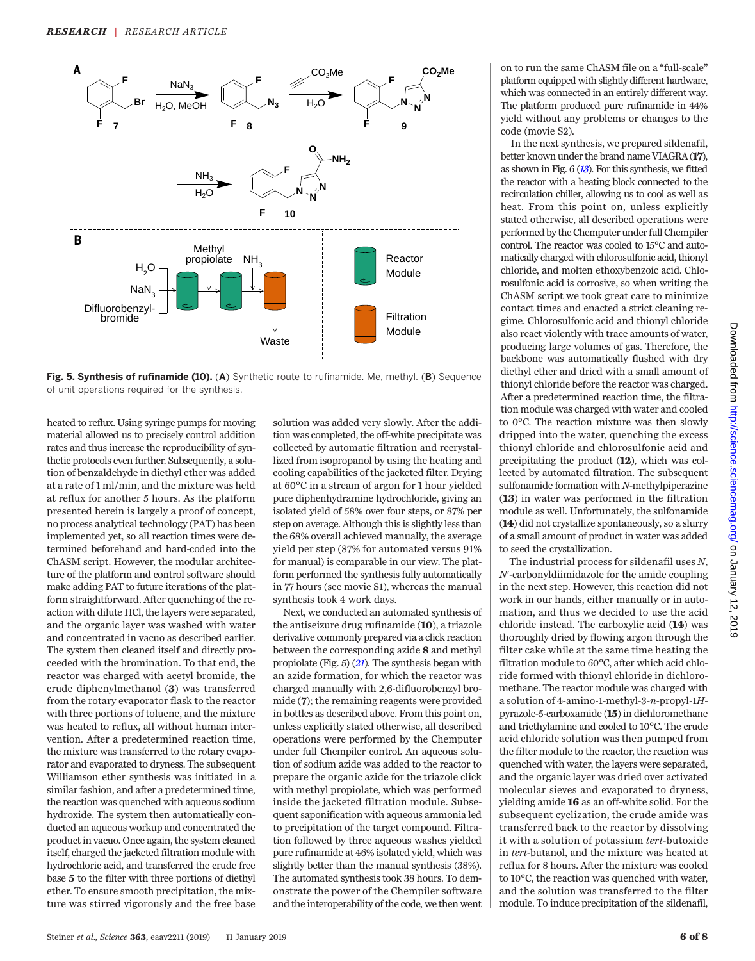

Fig. 5. Synthesis of rufinamide (10). (A) Synthetic route to rufinamide. Me, methyl. (B) Sequence of unit operations required for the synthesis.

heated to reflux. Using syringe pumps for moving material allowed us to precisely control addition rates and thus increase the reproducibility of synthetic protocols even further. Subsequently, a solution of benzaldehyde in diethyl ether was added at a rate of 1 ml/min, and the mixture was held at reflux for another 5 hours. As the platform presented herein is largely a proof of concept, no process analytical technology (PAT) has been implemented yet, so all reaction times were determined beforehand and hard-coded into the ChASM script. However, the modular architecture of the platform and control software should make adding PAT to future iterations of the platform straightforward. After quenching of the reaction with dilute HCl, the layers were separated, and the organic layer was washed with water and concentrated in vacuo as described earlier. The system then cleaned itself and directly proceeded with the bromination. To that end, the reactor was charged with acetyl bromide, the crude diphenylmethanol (3) was transferred from the rotary evaporator flask to the reactor with three portions of toluene, and the mixture was heated to reflux, all without human intervention. After a predetermined reaction time, the mixture was transferred to the rotary evaporator and evaporated to dryness. The subsequent Williamson ether synthesis was initiated in a similar fashion, and after a predetermined time, the reaction was quenched with aqueous sodium hydroxide. The system then automatically conducted an aqueous workup and concentrated the product in vacuo. Once again, the system cleaned itself, charged the jacketed filtration module with hydrochloric acid, and transferred the crude free base 5 to the filter with three portions of diethyl ether. To ensure smooth precipitation, the mixture was stirred vigorously and the free base solution was added very slowly. After the addition was completed, the off-white precipitate was collected by automatic filtration and recrystallized from isopropanol by using the heating and cooling capabilities of the jacketed filter. Drying at 60°C in a stream of argon for 1 hour yielded pure diphenhydramine hydrochloride, giving an isolated yield of 58% over four steps, or 87% per step on average. Although this is slightly less than the 68% overall achieved manually, the average yield per step (87% for automated versus 91% for manual) is comparable in our view. The platform performed the synthesis fully automatically in 77 hours (see movie S1), whereas the manual synthesis took 4 work days.

Next, we conducted an automated synthesis of the antiseizure drug rufinamide (10), a triazole derivative commonly prepared via a click reaction between the corresponding azide 8 and methyl propiolate (Fig.  $5)$  ([21](#page-8-0)). The synthesis began with an azide formation, for which the reactor was charged manually with 2,6-difluorobenzyl bromide (7); the remaining reagents were provided in bottles as described above. From this point on, unless explicitly stated otherwise, all described operations were performed by the Chemputer under full Chempiler control. An aqueous solution of sodium azide was added to the reactor to prepare the organic azide for the triazole click with methyl propiolate, which was performed inside the jacketed filtration module. Subsequent saponification with aqueous ammonia led to precipitation of the target compound. Filtration followed by three aqueous washes yielded pure rufinamide at 46% isolated yield, which was slightly better than the manual synthesis (38%). The automated synthesis took 38 hours. To demonstrate the power of the Chempiler software and the interoperability of the code, we then went on to run the same ChASM file on a "full-scale" platform equipped with slightly different hardware, which was connected in an entirely different way. The platform produced pure rufinamide in 44% yield without any problems or changes to the code (movie S2).

In the next synthesis, we prepared sildenafil, better known under the brand name VIAGRA (17), as shown in Fig.  $6(13)$  $6(13)$  $6(13)$ . For this synthesis, we fitted the reactor with a heating block connected to the recirculation chiller, allowing us to cool as well as heat. From this point on, unless explicitly stated otherwise, all described operations were performed by the Chemputer under full Chempiler control. The reactor was cooled to 15°C and automatically charged with chlorosulfonic acid, thionyl chloride, and molten ethoxybenzoic acid. Chlorosulfonic acid is corrosive, so when writing the ChASM script we took great care to minimize contact times and enacted a strict cleaning regime. Chlorosulfonic acid and thionyl chloride also react violently with trace amounts of water, producing large volumes of gas. Therefore, the backbone was automatically flushed with dry diethyl ether and dried with a small amount of thionyl chloride before the reactor was charged. After a predetermined reaction time, the filtration module was charged with water and cooled to 0°C. The reaction mixture was then slowly dripped into the water, quenching the excess thionyl chloride and chlorosulfonic acid and precipitating the product (12), which was collected by automated filtration. The subsequent sulfonamide formation with N-methylpiperazine (13) in water was performed in the filtration module as well. Unfortunately, the sulfonamide (14) did not crystallize spontaneously, so a slurry of a small amount of product in water was added to seed the crystallization.

The industrial process for sildenafil uses N, N′-carbonyldiimidazole for the amide coupling in the next step. However, this reaction did not work in our hands, either manually or in automation, and thus we decided to use the acid chloride instead. The carboxylic acid (14) was thoroughly dried by flowing argon through the filter cake while at the same time heating the filtration module to 60°C, after which acid chloride formed with thionyl chloride in dichloromethane. The reactor module was charged with a solution of 4-amino-1-methyl-3-n-propyl-1Hpyrazole-5-carboxamide (15) in dichloromethane and triethylamine and cooled to 10°C. The crude acid chloride solution was then pumped from the filter module to the reactor, the reaction was quenched with water, the layers were separated, and the organic layer was dried over activated molecular sieves and evaporated to dryness, yielding amide 16 as an off-white solid. For the subsequent cyclization, the crude amide was transferred back to the reactor by dissolving it with a solution of potassium tert-butoxide in tert-butanol, and the mixture was heated at reflux for 8 hours. After the mixture was cooled to 10°C, the reaction was quenched with water, and the solution was transferred to the filter module. To induce precipitation of the sildenafil,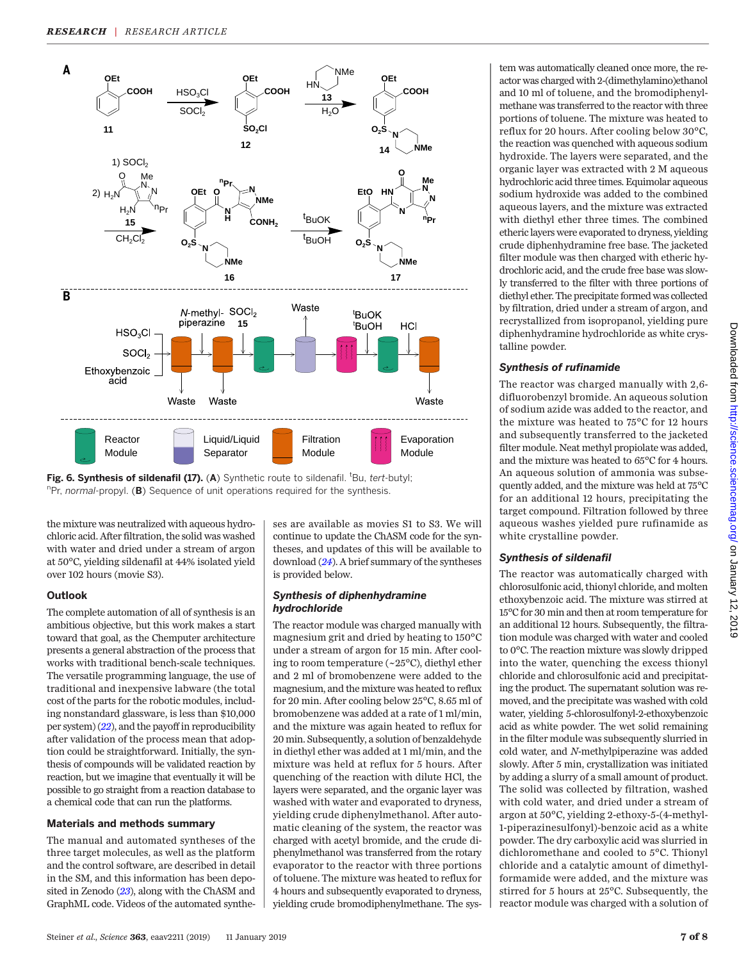

Fig. 6. Synthesis of sildenafil (17). (A) Synthetic route to sildenafil. <sup>t</sup>Bu, tert-butyl; "Pr, normal-propyl. (B) Sequence of unit operations required for the synthesis.

the mixture was neutralized with aqueous hydrochloric acid. After filtration, the solid was washed with water and dried under a stream of argon at 50°C, yielding sildenafil at 44% isolated yield over 102 hours (movie S3).

#### **Outlook**

The complete automation of all of synthesis is an ambitious objective, but this work makes a start toward that goal, as the Chemputer architecture presents a general abstraction of the process that works with traditional bench-scale techniques. The versatile programming language, the use of traditional and inexpensive labware (the total cost of the parts for the robotic modules, including nonstandard glassware, is less than \$10,000 per system)  $(22)$  $(22)$  $(22)$ , and the payoff in reproducibility after validation of the process mean that adoption could be straightforward. Initially, the synthesis of compounds will be validated reaction by reaction, but we imagine that eventually it will be possible to go straight from a reaction database to a chemical code that can run the platforms.

#### Materials and methods summary

The manual and automated syntheses of the three target molecules, as well as the platform and the control software, are described in detail in the SM, and this information has been deposited in Zenodo ([23](#page-8-0)), along with the ChASM and GraphML code. Videos of the automated syntheses are available as movies S1 to S3. We will continue to update the ChASM code for the syntheses, and updates of this will be available to download ([24](#page-8-0)). A brief summary of the syntheses is provided below.

#### Synthesis of diphenhydramine hydrochloride

The reactor module was charged manually with magnesium grit and dried by heating to 150°C under a stream of argon for 15 min. After cooling to room temperature (~25°C), diethyl ether and 2 ml of bromobenzene were added to the magnesium, and the mixture was heated to reflux for 20 min. After cooling below 25°C, 8.65 ml of bromobenzene was added at a rate of 1 ml/min, and the mixture was again heated to reflux for 20 min. Subsequently, a solution of benzaldehyde in diethyl ether was added at 1 ml/min, and the mixture was held at reflux for 5 hours. After quenching of the reaction with dilute HCl, the layers were separated, and the organic layer was washed with water and evaporated to dryness, yielding crude diphenylmethanol. After automatic cleaning of the system, the reactor was charged with acetyl bromide, and the crude diphenylmethanol was transferred from the rotary evaporator to the reactor with three portions of toluene. The mixture was heated to reflux for 4 hours and subsequently evaporated to dryness, yielding crude bromodiphenylmethane. The sys-

tem was automatically cleaned once more, the reactor was charged with 2-(dimethylamino)ethanol and 10 ml of toluene, and the bromodiphenylmethane was transferred to the reactor with three portions of toluene. The mixture was heated to reflux for 20 hours. After cooling below 30°C, the reaction was quenched with aqueous sodium hydroxide. The layers were separated, and the organic layer was extracted with 2 M aqueous hydrochloric acid three times. Equimolar aqueous sodium hydroxide was added to the combined aqueous layers, and the mixture was extracted with diethyl ether three times. The combined etheric layers were evaporated to dryness, yielding crude diphenhydramine free base. The jacketed filter module was then charged with etheric hydrochloric acid, and the crude free base was slowly transferred to the filter with three portions of diethyl ether. The precipitate formed was collected by filtration, dried under a stream of argon, and recrystallized from isopropanol, yielding pure diphenhydramine hydrochloride as white crystalline powder.

## Synthesis of rufinamide

The reactor was charged manually with 2,6 difluorobenzyl bromide. An aqueous solution of sodium azide was added to the reactor, and the mixture was heated to 75°C for 12 hours and subsequently transferred to the jacketed filter module. Neat methyl propiolate was added, and the mixture was heated to 65°C for 4 hours. An aqueous solution of ammonia was subsequently added, and the mixture was held at 75°C for an additional 12 hours, precipitating the target compound. Filtration followed by three aqueous washes yielded pure rufinamide as white crystalline powder.

Downloaded from <http://science.sciencemag.org/> on January 12, 2019

Downloaded from http://science.sciencemag.org/ on January 12, 2019

# Synthesis of sildenafil

The reactor was automatically charged with chlorosulfonic acid, thionyl chloride, and molten ethoxybenzoic acid. The mixture was stirred at 15°C for 30 min and then at room temperature for an additional 12 hours. Subsequently, the filtration module was charged with water and cooled to 0°C. The reaction mixture was slowly dripped into the water, quenching the excess thionyl chloride and chlorosulfonic acid and precipitating the product. The supernatant solution was removed, and the precipitate was washed with cold water, yielding 5-chlorosulfonyl-2-ethoxybenzoic acid as white powder. The wet solid remaining in the filter module was subsequently slurried in cold water, and N-methylpiperazine was added slowly. After 5 min, crystallization was initiated by adding a slurry of a small amount of product. The solid was collected by filtration, washed with cold water, and dried under a stream of argon at 50°C, yielding 2-ethoxy-5-(4-methyl-1-piperazinesulfonyl)-benzoic acid as a white powder. The dry carboxylic acid was slurried in dichloromethane and cooled to 5°C. Thionyl chloride and a catalytic amount of dimethylformamide were added, and the mixture was stirred for 5 hours at 25°C. Subsequently, the reactor module was charged with a solution of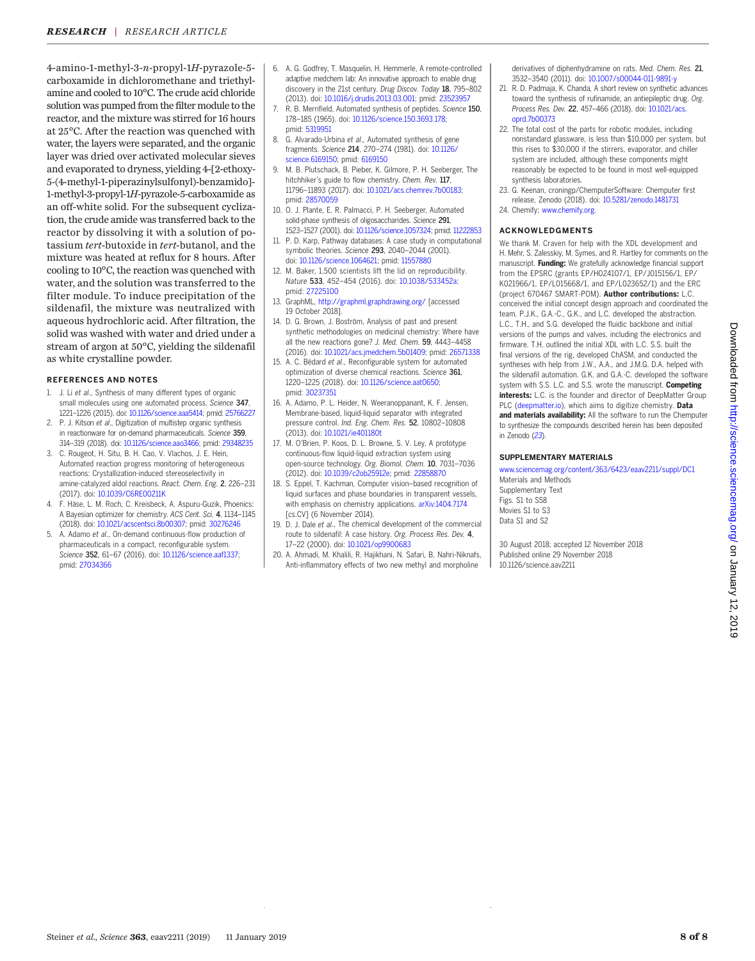<span id="page-8-0"></span>4-amino-1-methyl-3-n-propyl-1H-pyrazole-5 carboxamide in dichloromethane and triethylamine and cooled to 10°C. The crude acid chloride solution was pumped from the filter module to the reactor, and the mixture was stirred for 16 hours at 25°C. After the reaction was quenched with water, the layers were separated, and the organic layer was dried over activated molecular sieves and evaporated to dryness, yielding 4-[2-ethoxy-5-(4-methyl-1-piperazinylsulfonyl)-benzamido]- 1-methyl-3-propyl-1H-pyrazole-5-carboxamide as an off-white solid. For the subsequent cyclization, the crude amide was transferred back to the reactor by dissolving it with a solution of potassium tert-butoxide in tert-butanol, and the mixture was heated at reflux for 8 hours. After cooling to 10°C, the reaction was quenched with water, and the solution was transferred to the filter module. To induce precipitation of the sildenafil, the mixture was neutralized with aqueous hydrochloric acid. After filtration, the solid was washed with water and dried under a stream of argon at 50°C, yielding the sildenafil as white crystalline powder.

#### REFERENCES AND NOTES

- 1. J. Li et al., Synthesis of many different types of organic small molecules using one automated process. Science 347, 1221–1226 (2015). doi: [10.1126/science.aaa5414](http://dx.doi.org/10.1126/science.aaa5414); pmid: [25766227](http://www.ncbi.nlm.nih.gov/pubmed/25766227)
- P. J. Kitson et al., Digitization of multistep organic synthesis in reactionware for on-demand pharmaceuticals. Science 359, 314–319 (2018). doi: [10.1126/science.aao3466;](http://dx.doi.org/10.1126/science.aao3466) pmid: [29348235](http://www.ncbi.nlm.nih.gov/pubmed/29348235)
- 3. C. Rougeot, H. Situ, B. H. Cao, V. Vlachos, J. E. Hein, Automated reaction progress monitoring of heterogeneous reactions: Crystallization-induced stereoselectivity in amine-catalyzed aldol reactions. React. Chem. Eng. 2, 226–231 (2017). doi: [10.1039/C6RE00211K](http://dx.doi.org/10.1039/C6RE00211K)
- 4. F. Häse, L. M. Roch, C. Kreisbeck, A. Aspuru-Guzik, Phoenics: A Bayesian optimizer for chemistry. ACS Cent. Sci. 4, 1134-1145 (2018). doi: [10.1021/acscentsci.8b00307;](http://dx.doi.org/10.1021/acscentsci.8b00307) pmid: [30276246](http://www.ncbi.nlm.nih.gov/pubmed/30276246)
- A. Adamo et al., On-demand continuous-flow production of pharmaceuticals in a compact, reconfigurable system. Science 352, 61-67 (2016). doi: [10.1126/science.aaf1337](http://dx.doi.org/10.1126/science.aaf1337); pmid: [27034366](http://www.ncbi.nlm.nih.gov/pubmed/27034366)
- 6. A. G. Godfrey, T. Masquelin, H. Hemmerle, A remote-controlled adaptive medchem lab: An innovative approach to enable drug discovery in the 21st century. Drug Discov. Today 18, 795–802 (2013). doi: [10.1016/j.drudis.2013.03.001](http://dx.doi.org/10.1016/j.drudis.2013.03.001); pmid: [23523957](http://www.ncbi.nlm.nih.gov/pubmed/23523957)
- R. B. Merrifield, Automated synthesis of peptides. Science 150, 178–185 (1965). doi: [10.1126/science.150.3693.178;](http://dx.doi.org/10.1126/science.150.3693.178) pmid: [5319951](http://www.ncbi.nlm.nih.gov/pubmed/5319951)
- 8. G. Alvarado-Urbina et al., Automated synthesis of gene fragments. Science 214, 270–274 (1981). doi: [10.1126/](http://dx.doi.org/10.1126/science.6169150) [science.6169150](http://dx.doi.org/10.1126/science.6169150); pmid: [6169150](http://www.ncbi.nlm.nih.gov/pubmed/6169150)
- 9. M. B. Plutschack, B. Pieber, K. Gilmore, P. H. Seeberger, The hitchhiker's guide to flow chemistry. Chem. Rev. 117, 11796–11893 (2017). doi: [10.1021/acs.chemrev.7b00183](http://dx.doi.org/10.1021/acs.chemrev.7b00183); pmid: [28570059](http://www.ncbi.nlm.nih.gov/pubmed/28570059)
- 10. O. J. Plante, E. R. Palmacci, P. H. Seeberger, Automated solid-phase synthesis of oligosaccharides. Science 291, 1523–1527 (2001). doi: [10.1126/science.1057324](http://dx.doi.org/10.1126/science.1057324); pmid: [11222853](http://www.ncbi.nlm.nih.gov/pubmed/11222853)
- 11. P. D. Karp, Pathway databases: A case study in computational symbolic theories. Science 293, 2040–2044 (2001). doi: [10.1126/science.1064621;](http://dx.doi.org/10.1126/science.1064621) pmid: [11557880](http://www.ncbi.nlm.nih.gov/pubmed/11557880)
- 12. M. Baker, 1,500 scientists lift the lid on reproducibility. Nature 533, 452–454 (2016). doi: [10.1038/533452a;](http://dx.doi.org/10.1038/533452a) pmid: [27225100](http://www.ncbi.nlm.nih.gov/pubmed/27225100)
- 13. GraphML, <http://graphml.graphdrawing.org/> [accessed 19 October 2018].
- 14. D. G. Brown, J. Boström, Analysis of past and present synthetic methodologies on medicinal chemistry: Where have all the new reactions gone? J. Med. Chem. 59, 4443-4458 (2016). doi: [10.1021/acs.jmedchem.5b01409;](http://dx.doi.org/10.1021/acs.jmedchem.5b01409) pmid: [26571338](http://www.ncbi.nlm.nih.gov/pubmed/26571338)
- 15. A. C. Bédard et al., Reconfigurable system for automated optimization of diverse chemical reactions. Science 361, 1220–1225 (2018). doi: [10.1126/science.aat0650](http://dx.doi.org/10.1126/science.aat0650); pmid: [30237351](http://www.ncbi.nlm.nih.gov/pubmed/30237351)
- 16. A. Adamo, P. L. Heider, N. Weeranoppanant, K. F. Jensen, Membrane-based, liquid-liquid separator with integrated pressure control. Ind. Eng. Chem. Res. 52, 10802–10808 (2013). doi: [10.1021/ie401180t](http://dx.doi.org/10.1021/ie401180t)
- 17. M. O'Brien, P. Koos, D. L. Browne, S. V. Ley, A prototype continuous-flow liquid-liquid extraction system using open-source technology. Org. Biomol. Chem. 10, 7031–7036 (2012). doi: [10.1039/c2ob25912e;](http://dx.doi.org/10.1039/c2ob25912e) pmid: [22858870](http://www.ncbi.nlm.nih.gov/pubmed/22858870)
- 18. S. Eppel, T. Kachman, Computer vision–based recognition of liquid surfaces and phase boundaries in transparent vessels, with emphasis on chemistry applications. [arXiv:1404.7174](https://arxiv.org/abs/1404.7174) [cs.CV] (6 November 2014).
- 19. D. J. Dale et al., The chemical development of the commercial route to sildenafil: A case history. Org. Process Res. Dev. 4, 17-22 (2000). doi: [10.1021/op9900683](http://dx.doi.org/10.1021/op9900683)
- 20. A. Ahmadi, M. Khalili, R. Hajikhani, N. Safari, B. Nahri-Niknafs, Anti-inflammatory effects of two new methyl and morpholine

derivatives of diphenhydramine on rats. Med. Chem. Res. 21, 3532–3540 (2011). doi: [10.1007/s00044-011-9891-y](http://dx.doi.org/10.1007/s00044-011-9891-y)

- 21. R. D. Padmaja, K. Chanda, A short review on synthetic advances toward the synthesis of rufinamide, an antiepileptic drug. Org. Process Res. Dev. 22, 457–466 (2018). doi: [10.1021/acs.](http://dx.doi.org/10.1021/acs.oprd.7b00373) [oprd.7b00373](http://dx.doi.org/10.1021/acs.oprd.7b00373)
- 22. The total cost of the parts for robotic modules, including nonstandard glassware, is less than \$10,000 per system, but this rises to \$30,000 if the stirrers, evaporator, and chiller system are included, although these components might reasonably be expected to be found in most well-equipped synthesis laboratories.
- 23. G. Keenan, croningp/ChemputerSoftware: Chemputer first release, Zenodo (2018). doi: [10.5281/zenodo.1481731](http://dx.doi.org/10.5281/zenodo.1481731)
- 24. Chemify; [www.chemify.org.](http://www.chemify.org/)

#### ACKNOWLEDGMENTS

We thank M. Craven for help with the XDL development and H. Mehr, S. Zalesskiy, M. Symes, and R. Hartley for comments on the manuscript. Funding: We gratefully acknowledge financial support from the EPSRC (grants EP/H024107/1, EP/J015156/1, EP/ K021966/1, EP/L015668/1, and EP/L023652/1) and the ERC (project 670467 SMART-POM). Author contributions: L.C. conceived the initial concept design approach and coordinated the team. P.J.K., G.A.-C., G.K., and L.C. developed the abstraction. L.C., T.H., and S.G. developed the fluidic backbone and initial versions of the pumps and valves, including the electronics and firmware. T.H. outlined the initial XDL with L.C. S.S. built the final versions of the rig, developed ChASM, and conducted the syntheses with help from J.W., A.A., and J.M.G. D.A. helped with the sildenafil automation. G.K. and G.A.-C. developed the software system with S.S. L.C. and S.S. wrote the manuscript. **Competing** interests: L.C. is the founder and director of DeepMatter Group PLC [\(deepmatter.io\)](http://deepmatter.io/), which aims to digitize chemistry. Data and materials availability: All the software to run the Chemputer to synthesize the compounds described herein has been deposited in Zenodo (23).

#### SUPPLEMENTARY MATERIALS

[www.sciencemag.org/content/363/6423/eaav2211/suppl/DC1](http://www.sciencemag.org/content/363/6423/eaav2211/suppl/DC1) Materials and Methods Supplementary Text Figs. S1 to S58 Movies S1 to S3 Data S1 and S2

30 August 2018; accepted 12 November 2018 Published online 29 November 2018 10.1126/science.aav2211